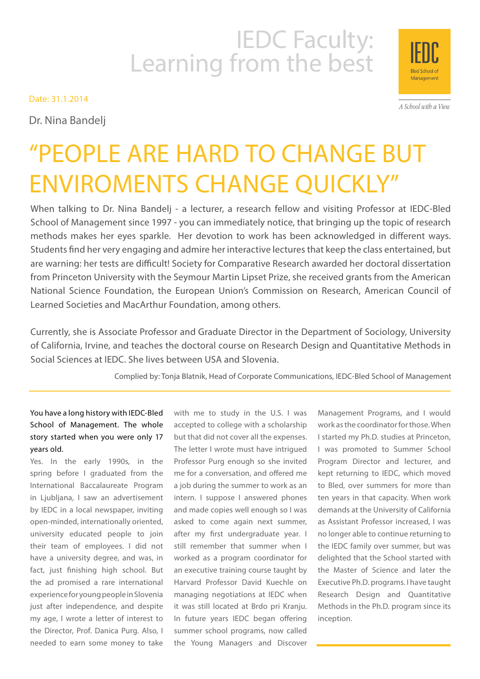# IEDC Faculty:<br>Learning from the best

Date: 31.1.2014

Dr. Nina Bandelj

Management

A School with a View

# "PEOPLE ARE HARD TO CHANGE BUT ENVIROMENTS CHANGE QUICKLY"

When talking to Dr. Nina Bandelj - a lecturer, a research fellow and visiting Professor at IEDC-Bled School of Management since 1997 - you can immediately notice, that bringing up the topic of research methods makes her eyes sparkle. Her devotion to work has been acknowledged in different ways. Students find her very engaging and admire her interactive lectures that keep the class entertained, but are warning: her tests are difficult! Society for Comparative Research awarded her doctoral dissertation from Princeton University with the Seymour Martin Lipset Prize, she received grants from the American National Science Foundation, the European Union's Commission on Research, American Council of Learned Societies and MacArthur Foundation, among others.

Currently, she is Associate Professor and Graduate Director in the Department of Sociology, University of California, Irvine, and teaches the doctoral course on Research Design and Quantitative Methods in Social Sciences at IEDC. She lives between USA and Slovenia.

Complied by: Tonja Blatnik, Head of Corporate Communications, IEDC-Bled School of Management

# You have a long history with IEDC-Bled School of Management. The whole story started when you were only 17 years old.

Yes. In the early 1990s, in the spring before I graduated from the International Baccalaureate Program in Ljubljana, I saw an advertisement by IEDC in a local newspaper, inviting open-minded, internationally oriented, university educated people to join their team of employees. I did not have a university degree, and was, in fact, just finishing high school. But the ad promised a rare international experience for young people in Slovenia just after independence, and despite my age, I wrote a letter of interest to the Director, Prof. Danica Purg. Also, I needed to earn some money to take

with me to study in the U.S. I was accepted to college with a scholarship but that did not cover all the expenses. The letter I wrote must have intrigued Professor Purg enough so she invited me for a conversation, and offered me a job during the summer to work as an intern. I suppose I answered phones and made copies well enough so I was asked to come again next summer, after my first undergraduate year. I still remember that summer when I worked as a program coordinator for an executive training course taught by Harvard Professor David Kuechle on managing negotiations at IEDC when it was still located at Brdo pri Kranju. In future years IEDC began offering summer school programs, now called the Young Managers and Discover

Management Programs, and I would work as the coordinator for those. When I started my Ph.D. studies at Princeton, I was promoted to Summer School Program Director and lecturer, and kept returning to IEDC, which moved to Bled, over summers for more than ten years in that capacity. When work demands at the University of California as Assistant Professor increased, I was no longer able to continue returning to the IEDC family over summer, but was delighted that the School started with the Master of Science and later the Executive Ph.D. programs. I have taught Research Design and Quantitative Methods in the Ph.D. program since its inception.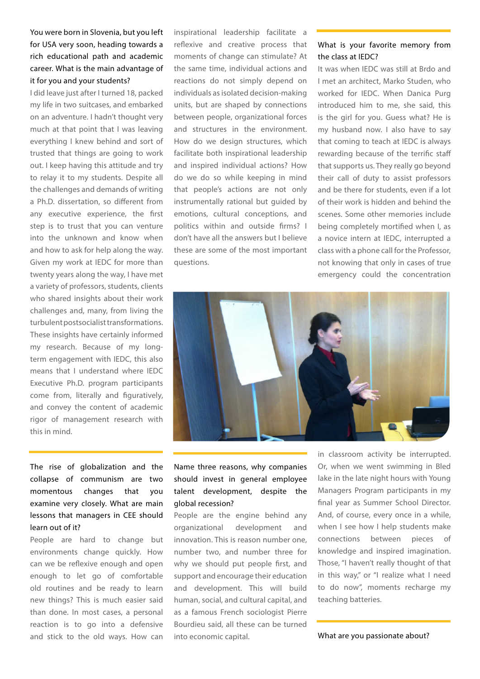# You were born in Slovenia, but you left for USA very soon, heading towards a rich educational path and academic career. What is the main advantage of it for you and your students?

I did leave just after I turned 18, packed my life in two suitcases, and embarked on an adventure. I hadn't thought very much at that point that I was leaving everything I knew behind and sort of trusted that things are going to work out. I keep having this attitude and try to relay it to my students. Despite all the challenges and demands of writing a Ph.D. dissertation, so different from any executive experience, the first step is to trust that you can venture into the unknown and know when and how to ask for help along the way. Given my work at IEDC for more than twenty years along the way, I have met a variety of professors, students, clients who shared insights about their work challenges and, many, from living the turbulent postsocialist transformations. These insights have certainly informed my research. Because of my longterm engagement with IEDC, this also means that I understand where IEDC Executive Ph.D. program participants come from, literally and figuratively, and convey the content of academic rigor of management research with this in mind.

The rise of globalization and the collapse of communism are two momentous changes that you examine very closely. What are main lessons that managers in CEE should learn out of it?

People are hard to change but environments change quickly. How can we be reflexive enough and open enough to let go of comfortable old routines and be ready to learn new things? This is much easier said than done. In most cases, a personal reaction is to go into a defensive and stick to the old ways. How can

inspirational leadership facilitate a reflexive and creative process that moments of change can stimulate? At the same time, individual actions and reactions do not simply depend on individuals as isolated decision-making units, but are shaped by connections between people, organizational forces and structures in the environment. How do we design structures, which facilitate both inspirational leadership and inspired individual actions? How do we do so while keeping in mind that people's actions are not only instrumentally rational but guided by emotions, cultural conceptions, and politics within and outside firms? I don't have all the answers but I believe these are some of the most important questions.

### What is your favorite memory from the class at IEDC?

It was when IEDC was still at Brdo and I met an architect, Marko Studen, who worked for IEDC. When Danica Purg introduced him to me, she said, this is the girl for you. Guess what? He is my husband now. I also have to say that coming to teach at IEDC is always rewarding because of the terrific staff that supports us. They really go beyond their call of duty to assist professors and be there for students, even if a lot of their work is hidden and behind the scenes. Some other memories include being completely mortified when I, as a novice intern at IEDC, interrupted a class with a phone call for the Professor, not knowing that only in cases of true emergency could the concentration



# Name three reasons, why companies should invest in general employee talent development, despite the global recession?

People are the engine behind any organizational development and innovation. This is reason number one, number two, and number three for why we should put people first, and support and encourage their education and development. This will build human, social, and cultural capital, and as a famous French sociologist Pierre Bourdieu said, all these can be turned into economic capital.

in classroom activity be interrupted. Or, when we went swimming in Bled lake in the late night hours with Young Managers Program participants in my final year as Summer School Director. And, of course, every once in a while, when I see how I help students make connections between pieces of knowledge and inspired imagination. Those, "I haven't really thought of that in this way," or "I realize what I need to do now", moments recharge my teaching batteries.

What are you passionate about?